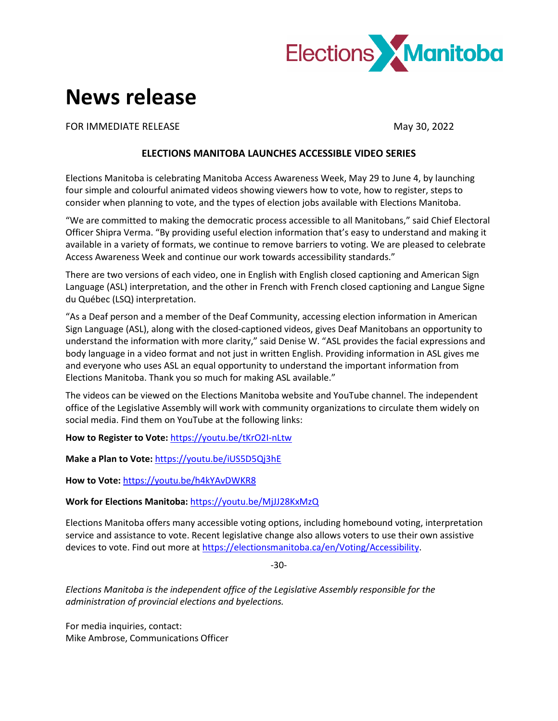

## **News release**

FOR IMMEDIATE RELEASE **May 30, 2022** 

## **ELECTIONS MANITOBA LAUNCHES ACCESSIBLE VIDEO SERIES**

Elections Manitoba is celebrating Manitoba Access Awareness Week, May 29 to June 4, by launching four simple and colourful animated videos showing viewers how to vote, how to register, steps to consider when planning to vote, and the types of election jobs available with Elections Manitoba.

"We are committed to making the democratic process accessible to all Manitobans," said Chief Electoral Officer Shipra Verma. "By providing useful election information that's easy to understand and making it available in a variety of formats, we continue to remove barriers to voting. We are pleased to celebrate Access Awareness Week and continue our work towards accessibility standards."

There are two versions of each video, one in English with English closed captioning and American Sign Language (ASL) interpretation, and the other in French with French closed captioning and Langue Signe du Québec (LSQ) interpretation.

"As a Deaf person and a member of the Deaf Community, accessing election information in American Sign Language (ASL), along with the closed-captioned videos, gives Deaf Manitobans an opportunity to understand the information with more clarity," said Denise W. "ASL provides the facial expressions and body language in a video format and not just in written English. Providing information in ASL gives me and everyone who uses ASL an equal opportunity to understand the important information from Elections Manitoba. Thank you so much for making ASL available."

The videos can be viewed on the Elections Manitoba website and YouTube channel. The independent office of the Legislative Assembly will work with community organizations to circulate them widely on social media. Find them on YouTube at the following links:

**How to Register to Vote:** <https://youtu.be/tKrO2I-nLtw>

**Make a Plan to Vote:** <https://youtu.be/iUS5D5Qj3hE>

**How to Vote:** <https://youtu.be/h4kYAvDWKR8>

**Work for Elections Manitoba:** <https://youtu.be/MjJJ28KxMzQ>

Elections Manitoba offers many accessible voting options, including homebound voting, interpretation service and assistance to vote. Recent legislative change also allows voters to use their own assistive devices to vote. Find out more at [https://electionsmanitoba.ca/en/Voting/Accessibility.](https://electionsmanitoba.ca/en/Voting/Accessibility)

-30-

*Elections Manitoba is the independent office of the Legislative Assembly responsible for the administration of provincial elections and byelections.*

For media inquiries, contact: Mike Ambrose, Communications Officer